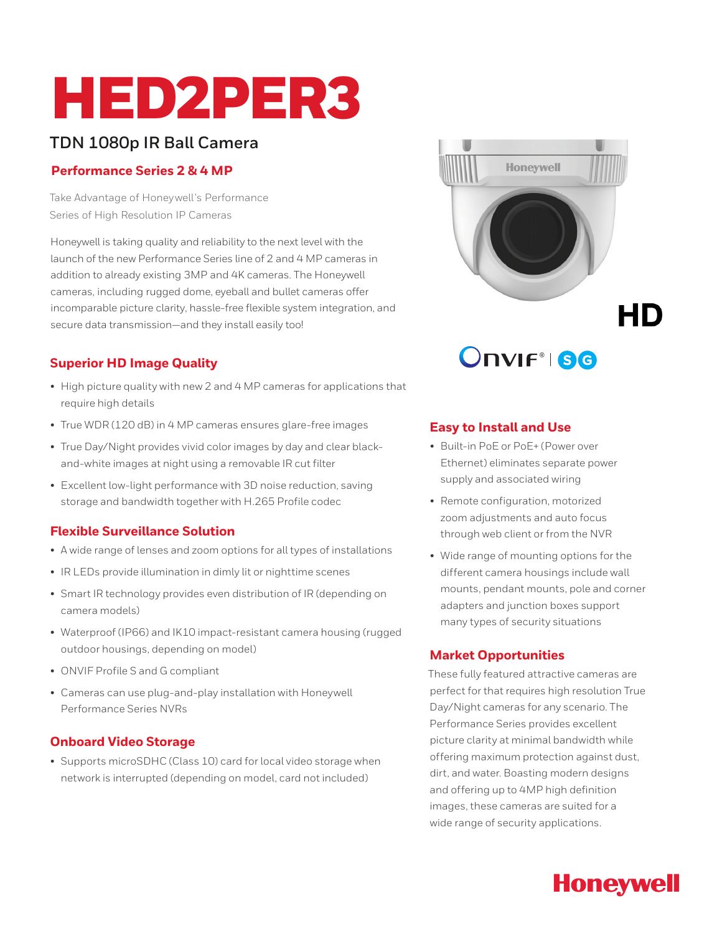# HED2PER3

# **TDN 1080p IR Ball Camera**

## **Performance Series 2 & 4 MP**

Take Advantage of Honeywell's Performance Series of High Resolution IP Cameras

Honeywell is taking quality and reliability to the next level with the launch of the new Performance Series line of 2 and 4 MP cameras in addition to already existing 3MP and 4K cameras. The Honeywell cameras, including rugged dome, eyeball and bullet cameras offer incomparable picture clarity, hassle-free flexible system integration, and secure data transmission—and they install easily too!

# **Superior HD Image Quality**

- High picture quality with new 2 and 4 MP cameras for applications that require high details
- True WDR (120 dB) in 4 MP cameras ensures glare-free images
- True Day/Night provides vivid color images by day and clear blackand-white images at night using a removable IR cut filter
- Excellent low-light performance with 3D noise reduction, saving storage and bandwidth together with H.265 Profile codec

# **Flexible Surveillance Solution**

- A wide range of lenses and zoom options for all types of installations
- IR LEDs provide illumination in dimly lit or nighttime scenes
- Smart IR technology provides even distribution of IR (depending on camera models)
- Waterproof (IP66) and IK10 impact-resistant camera housing (rugged outdoor housings, depending on model)
- ONVIF Profile S and G compliant
- Cameras can use plug-and-play installation with Honeywell Performance Series NVRs

# **Onboard Video Storage**

• Supports microSDHC (Class 10) card for local video storage when network is interrupted (depending on model, card not included)



**Onvir ise** 

# **Easy to Install and Use**

- Built-in PoE or PoE+ (Power over Ethernet) eliminates separate power supply and associated wiring
- Remote configuration, motorized zoom adjustments and auto focus through web client or from the NVR
- Wide range of mounting options for the different camera housings include wall mounts, pendant mounts, pole and corner adapters and junction boxes support many types of security situations

# **Market Opportunities**

These fully featured attractive cameras are perfect for that requires high resolution True Day/Night cameras for any scenario. The Performance Series provides excellent picture clarity at minimal bandwidth while offering maximum protection against dust, dirt, and water. Boasting modern designs and offering up to 4MP high definition images, these cameras are suited for a wide range of security applications.

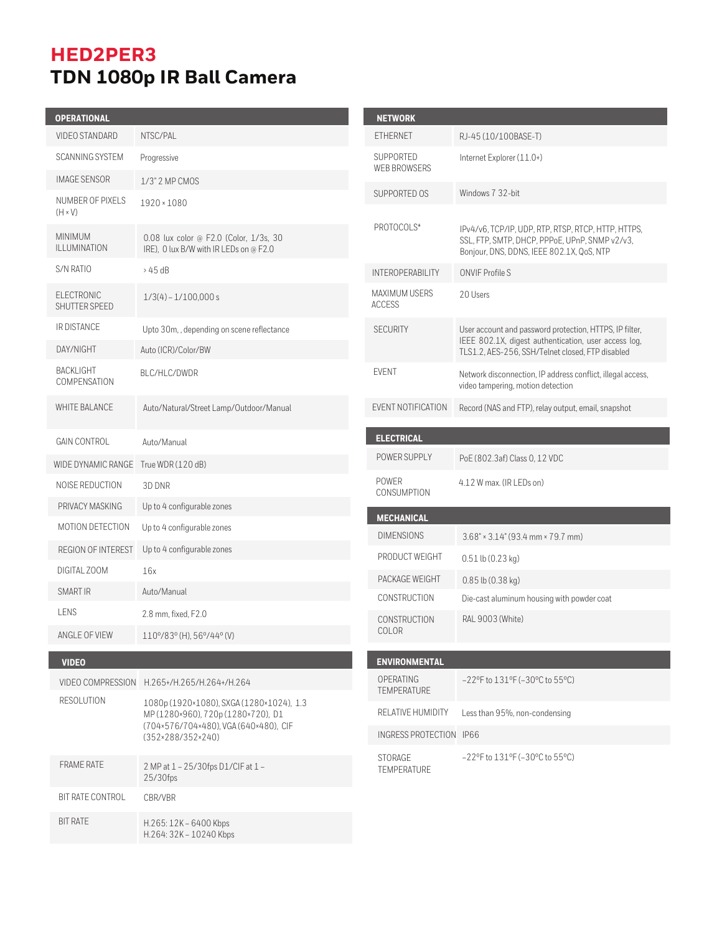# **HED2PER3 TDN 1080p IR Ball Camera**

| <b>OPERATIONAL</b>                 |                                                                                  | <b>NETWORK</b>                          |                                           |
|------------------------------------|----------------------------------------------------------------------------------|-----------------------------------------|-------------------------------------------|
| VIDEO STANDARD                     | NTSC/PAL                                                                         | <b>ETHERNET</b>                         | RJ-45 (10/                                |
| <b>SCANNING SYSTEM</b>             | Progressive                                                                      | SUPPORTED                               | Internet Exp                              |
| <b>IMAGE SENSOR</b>                | 1/3" 2 MP CMOS                                                                   | <b>WEB BROWSERS</b>                     |                                           |
| NUMBER OF PIXELS<br>$(H \times V)$ | 1920 × 1080                                                                      | SUPPORTED OS                            | Windows 7                                 |
| <b>MINIMUM</b><br>ILLUMINATION     | 0.08 lux color @ F2.0 (Color, 1/3s, 30<br>IRE), 0 lux B/W with IR LEDs on @ F2.0 | PROTOCOLS*                              | IPv4/v6, T0<br>SSL, FTP, S<br>Bonjour, DN |
| S/N RATIO                          | >45dB                                                                            | <b>INTEROPERABILITY</b>                 | <b>ONVIF Prof</b>                         |
| ELECTRONIC<br>SHUTTER SPEED        | $1/3(4) - 1/100,000 s$                                                           | MAXIMUM USERS<br><b>ACCESS</b>          | 20 Users                                  |
| IR DISTANCE                        | Upto 30m, , depending on scene reflectance                                       | <b>SECURITY</b>                         | User accou                                |
| DAY/NIGHT                          | Auto (ICR)/Color/BW                                                              |                                         | IEEE 802.<br><b>TLS1.2, AES</b>           |
| BACKLIGHT<br>COMPENSATION          | BLC/HLC/DWDR                                                                     | <b>EVENT</b>                            | Network dis<br>video tampe                |
| WHITE BALANCE                      | Auto/Natural/Street Lamp/Outdoor/Manual                                          | EVENT NOTIFICATION                      | Record (NA                                |
| <b>GAIN CONTROL</b>                | Auto/Manual                                                                      | <b>ELECTRICAL</b>                       |                                           |
| WIDE DYNAMIC RANGE                 | True WDR (120 dB)                                                                | POWER SUPPLY                            | PoE (802.3                                |
| NOISE REDUCTION                    | 3D DNR                                                                           | POWER<br>CONSUMPTION                    | 4.12 W max                                |
| PRIVACY MASKING                    | Up to 4 configurable zones                                                       |                                         |                                           |
| MOTION DETECTION                   | Up to 4 configurable zones                                                       | <b>MECHANICAL</b><br><b>DIMENSIONS</b>  |                                           |
| REGION OF INTEREST                 | Up to 4 configurable zones                                                       | PRODUCT WEIGHT                          | $3.68" \times 3.1$                        |
| DIGITAL ZOOM                       | 16x                                                                              | PACKAGE WEIGHT                          | $0.51$ lb $(0.$                           |
| SMART IR                           | Auto/Manual                                                                      | CONSTRUCTION                            | $0.85$ lb $(0.$<br>Die-cast al            |
| LENS                               | 2.8 mm, fixed, F2.0                                                              | CONSTRUCTION                            | <b>RAL 9003</b>                           |
| ANGLE OF VIEW                      | 110°/83° (H), 56°/44° (V)                                                        | COLOR                                   |                                           |
| <b>VIDEO</b>                       |                                                                                  | <b>ENVIRONMENTAL</b>                    |                                           |
| VIDEO COMPRESSION                  | H.265+/H.265/H.264+/H.264                                                        | OPERATING                               | $-22$ °F to 1                             |
| <b>RESOLUTION</b>                  | 1080p (1920×1080), SXGA (1280×1024), 1.3<br>MP(1280×960), 720p(1280×720), D1     | <b>TEMPERATURE</b><br>RELATIVE HUMIDITY | Less than!                                |
|                                    | (704×576/704×480), VGA (640×480), CIF<br>$(352 \times 288/352 \times 240)$       | INGRESS PROTECTION IP66                 |                                           |
|                                    |                                                                                  | STORAGE                                 | $-22$ °F to 1                             |
| <b>FRAME RATE</b>                  | 2 MP at 1 - 25/30fps D1/CIF at 1 -<br>$25/30$ fps                                | <b>TEMPERATURE</b>                      |                                           |
| BIT RATE CONTROL                   | CBR/VBR                                                                          |                                         |                                           |
| <b>BIT RATE</b>                    | $H.265:12K - 6400$ Kbps<br>H.264: 32K - 10240 Kbps                               |                                         |                                           |

| <b>FTHFRNFT</b>                                                | RJ-45 (10/100BASE-T)                                                                                                                                                |
|----------------------------------------------------------------|---------------------------------------------------------------------------------------------------------------------------------------------------------------------|
| SUPPORTED<br>WFB BROWSERS                                      | Internet Explorer (11.0+)                                                                                                                                           |
| SUPPORTED OS                                                   | Windows 7 32-bit                                                                                                                                                    |
| PROTOCOLS*                                                     | IPv4/v6, TCP/IP, UDP, RTP, RTSP, RTCP, HTTP, HTTPS,<br>SSL, FTP, SMTP, DHCP, PPPoE, UPnP, SNMP v2/v3,<br>Bonjour, DNS, DDNS, IEEE 802.1X, QoS, NTP                  |
| <b>INTEROPERABILITY</b>                                        | ONVIF Profile S                                                                                                                                                     |
| <b>MAXIMUM USERS</b><br><b>ACCESS</b>                          | 20 Users                                                                                                                                                            |
| <b>SECURITY</b>                                                | User account and password protection, HTTPS, IP filter,<br>IEEE 802.1X, digest authentication, user access log,<br>TLS1.2, AES-256, SSH/Telnet closed, FTP disabled |
| <b>FVFNT</b>                                                   | Network disconnection, IP address conflict, illegal access,<br>video tampering, motion detection                                                                    |
| EVENT NOTIFICATION                                             | Record (NAS and FTP), relay output, email, snapshot                                                                                                                 |
| <b>ELECTRICAL</b>                                              |                                                                                                                                                                     |
|                                                                |                                                                                                                                                                     |
| POWER SUPPLY                                                   | PoE (802.3af) Class 0, 12 VDC                                                                                                                                       |
| POWER<br>CONSUMPTION                                           | 4.12 W max. (IR LEDs on)                                                                                                                                            |
| <b>MECHANICAL</b>                                              |                                                                                                                                                                     |
| <b>DIMENSIONS</b>                                              | $3.68" \times 3.14" (93.4 mm \times 79.7 mm)$                                                                                                                       |
| PRODUCT WEIGHT                                                 | $0.51$ lb $(0.23$ kg)                                                                                                                                               |
| PACKAGE WEIGHT                                                 | 0.85 lb (0.38 kg)                                                                                                                                                   |
| <b>CONSTRUCTION</b>                                            | Die-cast aluminum housing with powder coat                                                                                                                          |
| <b>CONSTRUCTION</b><br>COLOR                                   | RAL 9003 (White)                                                                                                                                                    |
|                                                                |                                                                                                                                                                     |
| <b>ENVIRONMENTAL</b><br><b>OPERATING</b><br><b>TEMPERATURE</b> | $-22$ °F to $131$ °F ( $-30$ °C to 55°C)                                                                                                                            |
| RELATIVE HUMIDITY                                              | Less than 95%, non-condensing                                                                                                                                       |
| INGRESS PROTECTION                                             | IP <sub>66</sub>                                                                                                                                                    |